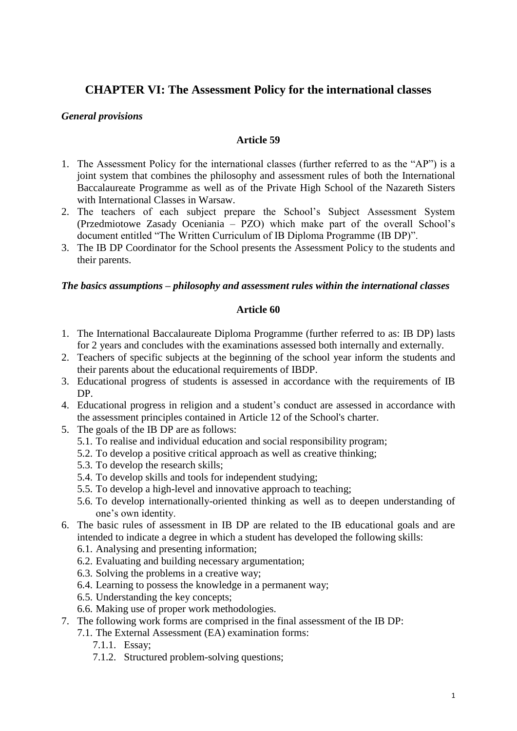# **CHAPTER VI: The Assessment Policy for the international classes**

# *General provisions*

## **Article 59**

- 1. The Assessment Policy for the international classes (further referred to as the "AP") is a joint system that combines the philosophy and assessment rules of both the International Baccalaureate Programme as well as of the Private High School of the Nazareth Sisters with International Classes in Warsaw.
- 2. The teachers of each subject prepare the School"s Subject Assessment System (Przedmiotowe Zasady Oceniania – PZO) which make part of the overall School"s document entitled "The Written Curriculum of IB Diploma Programme (IB DP)".
- 3. The IB DP Coordinator for the School presents the Assessment Policy to the students and their parents.

### *The basics assumptions – philosophy and assessment rules within the international classes*

- 1. The International Baccalaureate Diploma Programme (further referred to as: IB DP) lasts for 2 years and concludes with the examinations assessed both internally and externally.
- 2. Teachers of specific subjects at the beginning of the school year inform the students and their parents about the educational requirements of IBDP.
- 3. Educational progress of students is assessed in accordance with the requirements of IB DP.
- 4. Educational progress in religion and a student"s conduct are assessed in accordance with the assessment principles contained in Article 12 of the School's charter.
- 5. The goals of the IB DP are as follows:
	- 5.1. To realise and individual education and social responsibility program;
	- 5.2. To develop a positive critical approach as well as creative thinking;
	- 5.3. To develop the research skills;
	- 5.4. To develop skills and tools for independent studying;
	- 5.5. To develop a high-level and innovative approach to teaching;
	- 5.6. To develop internationally-oriented thinking as well as to deepen understanding of one"s own identity.
- 6. The basic rules of assessment in IB DP are related to the IB educational goals and are intended to indicate a degree in which a student has developed the following skills:
	- 6.1. Analysing and presenting information;
	- 6.2. Evaluating and building necessary argumentation;
	- 6.3. Solving the problems in a creative way;
	- 6.4. Learning to possess the knowledge in a permanent way;
	- 6.5. Understanding the key concepts;
	- 6.6. Making use of proper work methodologies.
- 7. The following work forms are comprised in the final assessment of the IB DP:
	- 7.1. The External Assessment (EA) examination forms:
		- 7.1.1. Essay;
		- 7.1.2. Structured problem-solving questions;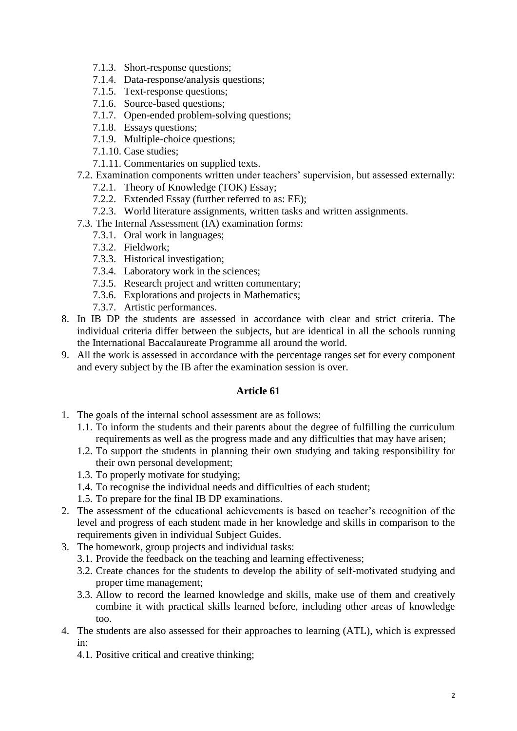- 7.1.3. Short-response questions;
- 7.1.4. Data-response/analysis questions;
- 7.1.5. Text-response questions;
- 7.1.6. Source-based questions;
- 7.1.7. Open-ended problem-solving questions;
- 7.1.8. Essays questions;
- 7.1.9. Multiple-choice questions;
- 7.1.10. Case studies;
- 7.1.11. Commentaries on supplied texts.
- 7.2. Examination components written under teachers' supervision, but assessed externally:
	- 7.2.1. Theory of Knowledge (TOK) Essay;
	- 7.2.2. Extended Essay (further referred to as: EE);
- 7.2.3. World literature assignments, written tasks and written assignments.
- 7.3. The Internal Assessment (IA) examination forms:
	- 7.3.1. Oral work in languages;
	- 7.3.2. Fieldwork;
	- 7.3.3. Historical investigation;
	- 7.3.4. Laboratory work in the sciences;
	- 7.3.5. Research project and written commentary;
	- 7.3.6. Explorations and projects in Mathematics;
	- 7.3.7. Artistic performances.
- 8. In IB DP the students are assessed in accordance with clear and strict criteria. The individual criteria differ between the subjects, but are identical in all the schools running the International Baccalaureate Programme all around the world.
- 9. All the work is assessed in accordance with the percentage ranges set for every component and every subject by the IB after the examination session is over.

- 1. The goals of the internal school assessment are as follows:
	- 1.1. To inform the students and their parents about the degree of fulfilling the curriculum requirements as well as the progress made and any difficulties that may have arisen;
	- 1.2. To support the students in planning their own studying and taking responsibility for their own personal development;
	- 1.3. To properly motivate for studying;
	- 1.4. To recognise the individual needs and difficulties of each student;
	- 1.5. To prepare for the final IB DP examinations.
- 2. The assessment of the educational achievements is based on teacher"s recognition of the level and progress of each student made in her knowledge and skills in comparison to the requirements given in individual Subject Guides.
- 3. The homework, group projects and individual tasks:
	- 3.1. Provide the feedback on the teaching and learning effectiveness;
		- 3.2. Create chances for the students to develop the ability of self-motivated studying and proper time management;
		- 3.3. Allow to record the learned knowledge and skills, make use of them and creatively combine it with practical skills learned before, including other areas of knowledge too.
- 4. The students are also assessed for their approaches to learning (ATL), which is expressed in:
	- 4.1. Positive critical and creative thinking;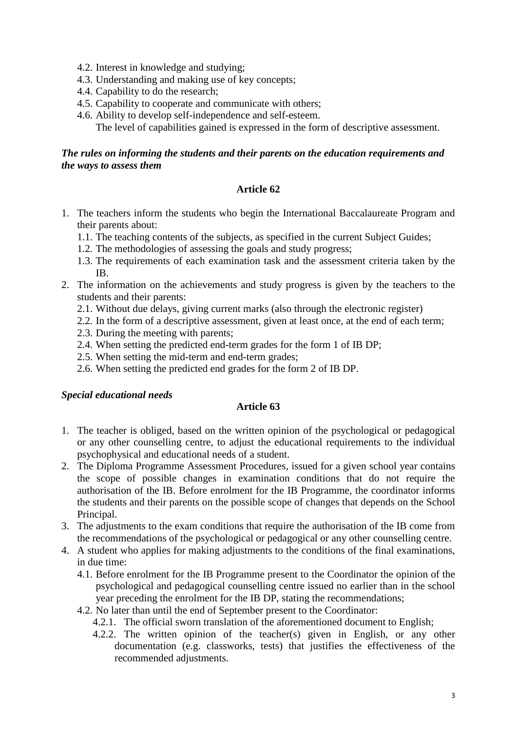- 4.2. Interest in knowledge and studying;
- 4.3. Understanding and making use of key concepts;
- 4.4. Capability to do the research;
- 4.5. Capability to cooperate and communicate with others;
- 4.6. Ability to develop self-independence and self-esteem.

The level of capabilities gained is expressed in the form of descriptive assessment.

# *The rules on informing the students and their parents on the education requirements and the ways to assess them*

# **Article 62**

- 1. The teachers inform the students who begin the International Baccalaureate Program and their parents about:
	- 1.1. The teaching contents of the subjects, as specified in the current Subject Guides;
	- 1.2. The methodologies of assessing the goals and study progress;
	- 1.3. The requirements of each examination task and the assessment criteria taken by the IB.
- 2. The information on the achievements and study progress is given by the teachers to the students and their parents:
	- 2.1. Without due delays, giving current marks (also through the electronic register)
	- 2.2. In the form of a descriptive assessment, given at least once, at the end of each term;
	- 2.3. During the meeting with parents;
	- 2.4. When setting the predicted end-term grades for the form 1 of IB DP;
	- 2.5. When setting the mid-term and end-term grades;
	- 2.6. When setting the predicted end grades for the form 2 of IB DP.

# *Special educational needs*

- 1. The teacher is obliged, based on the written opinion of the psychological or pedagogical or any other counselling centre, to adjust the educational requirements to the individual psychophysical and educational needs of a student.
- 2. The Diploma Programme Assessment Procedures, issued for a given school year contains the scope of possible changes in examination conditions that do not require the authorisation of the IB. Before enrolment for the IB Programme, the coordinator informs the students and their parents on the possible scope of changes that depends on the School Principal.
- 3. The adjustments to the exam conditions that require the authorisation of the IB come from the recommendations of the psychological or pedagogical or any other counselling centre.
- 4. A student who applies for making adjustments to the conditions of the final examinations, in due time:
	- 4.1. Before enrolment for the IB Programme present to the Coordinator the opinion of the psychological and pedagogical counselling centre issued no earlier than in the school year preceding the enrolment for the IB DP, stating the recommendations;
	- 4.2. No later than until the end of September present to the Coordinator:
		- 4.2.1. The official sworn translation of the aforementioned document to English;
		- 4.2.2. The written opinion of the teacher(s) given in English, or any other documentation (e.g. classworks, tests) that justifies the effectiveness of the recommended adjustments.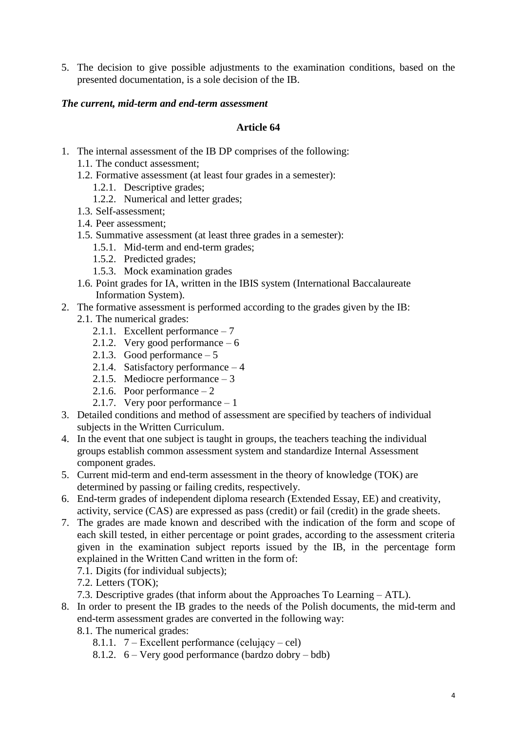5. The decision to give possible adjustments to the examination conditions, based on the presented documentation, is a sole decision of the IB.

# *The current, mid-term and end-term assessment*

# **Article 64**

- 1. The internal assessment of the IB DP comprises of the following:
	- 1.1. The conduct assessment;
	- 1.2. Formative assessment (at least four grades in a semester):
		- 1.2.1. Descriptive grades;
		- 1.2.2. Numerical and letter grades;
	- 1.3. Self-assessment;
	- 1.4. Peer assessment;
	- 1.5. Summative assessment (at least three grades in a semester):
		- 1.5.1. Mid-term and end-term grades;
		- 1.5.2. Predicted grades;
		- 1.5.3. Mock examination grades
	- 1.6. Point grades for IA, written in the IBIS system (International Baccalaureate Information System).
- 2. The formative assessment is performed according to the grades given by the IB:
	- 2.1. The numerical grades:
		- 2.1.1. Excellent performance 7
		- 2.1.2. Very good performance  $-6$
		- 2.1.3. Good performance  $-5$
		- 2.1.4. Satisfactory performance 4
		- 2.1.5. Mediocre performance 3
		- 2.1.6. Poor performance  $-2$
		- 2.1.7. Very poor performance 1
- 3. Detailed conditions and method of assessment are specified by teachers of individual subjects in the Written Curriculum.
- 4. In the event that one subject is taught in groups, the teachers teaching the individual groups establish common assessment system and standardize Internal Assessment component grades.
- 5. Current mid-term and end-term assessment in the theory of knowledge (TOK) are determined by passing or failing credits, respectively.
- 6. End-term grades of independent diploma research (Extended Essay, EE) and creativity, activity, service (CAS) are expressed as pass (credit) or fail (credit) in the grade sheets.
- 7. The grades are made known and described with the indication of the form and scope of each skill tested, in either percentage or point grades, according to the assessment criteria given in the examination subject reports issued by the IB, in the percentage form explained in the Written Cand written in the form of:
	- 7.1. Digits (for individual subjects);
	- 7.2. Letters (TOK);

7.3. Descriptive grades (that inform about the Approaches To Learning – ATL).

- 8. In order to present the IB grades to the needs of the Polish documents, the mid-term and end-term assessment grades are converted in the following way:
	- 8.1. The numerical grades:
		- 8.1.1. 7 Excellent performance (celujący cel)
		- 8.1.2. 6 Very good performance (bardzo dobry bdb)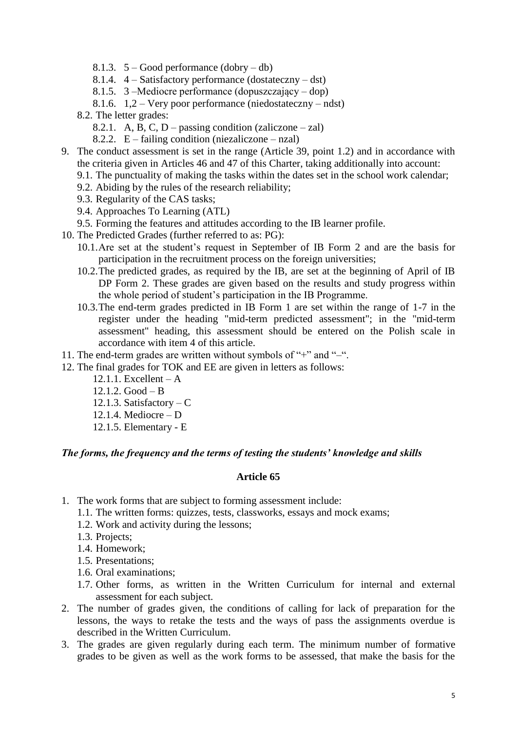- 8.1.3.  $5 Good performance (dobry db)$
- 8.1.4. 4 Satisfactory performance (dostateczny dst)
- 8.1.5. 3 –Mediocre performance (dopuszczający dop)
- 8.1.6. 1,2 Very poor performance (niedostateczny ndst)
- 8.2. The letter grades:
	- 8.2.1. A, B, C, D passing condition (zaliczone zal)
	- 8.2.2.  $E -$  failing condition (niezaliczone nzal)
- 9. The conduct assessment is set in the range (Article 39, point 1.2) and in accordance with the criteria given in Articles 46 and 47 of this Charter, taking additionally into account:
	- 9.1. The punctuality of making the tasks within the dates set in the school work calendar;
	- 9.2. Abiding by the rules of the research reliability;
	- 9.3. Regularity of the CAS tasks;
	- 9.4. Approaches To Learning (ATL)
	- 9.5. Forming the features and attitudes according to the IB learner profile.
- 10. The Predicted Grades (further referred to as: PG):
	- 10.1.Are set at the student"s request in September of IB Form 2 and are the basis for participation in the recruitment process on the foreign universities;
	- 10.2.The predicted grades, as required by the IB, are set at the beginning of April of IB DP Form 2. These grades are given based on the results and study progress within the whole period of student"s participation in the IB Programme.
	- 10.3.The end-term grades predicted in IB Form 1 are set within the range of 1-7 in the register under the heading "mid-term predicted assessment"; in the "mid-term assessment" heading, this assessment should be entered on the Polish scale in accordance with item 4 of this article.
- 11. The end-term grades are written without symbols of "+" and "–".
- 12. The final grades for TOK and EE are given in letters as follows:
	- 12.1.1. Excellent  $-A$
	- 12.1.2. Good B
	- 12.1.3. Satisfactory  $-C$
	- 12.1.4. Mediocre D
	- 12.1.5. Elementary E

### *The forms, the frequency and the terms of testing the students' knowledge and skills*

- 1. The work forms that are subject to forming assessment include:
	- 1.1. The written forms: quizzes, tests, classworks, essays and mock exams;
	- 1.2. Work and activity during the lessons;
	- 1.3. Projects;
	- 1.4. Homework;
	- 1.5. Presentations;
	- 1.6. Oral examinations;
	- 1.7. Other forms, as written in the Written Curriculum for internal and external assessment for each subject.
- 2. The number of grades given, the conditions of calling for lack of preparation for the lessons, the ways to retake the tests and the ways of pass the assignments overdue is described in the Written Curriculum.
- 3. The grades are given regularly during each term. The minimum number of formative grades to be given as well as the work forms to be assessed, that make the basis for the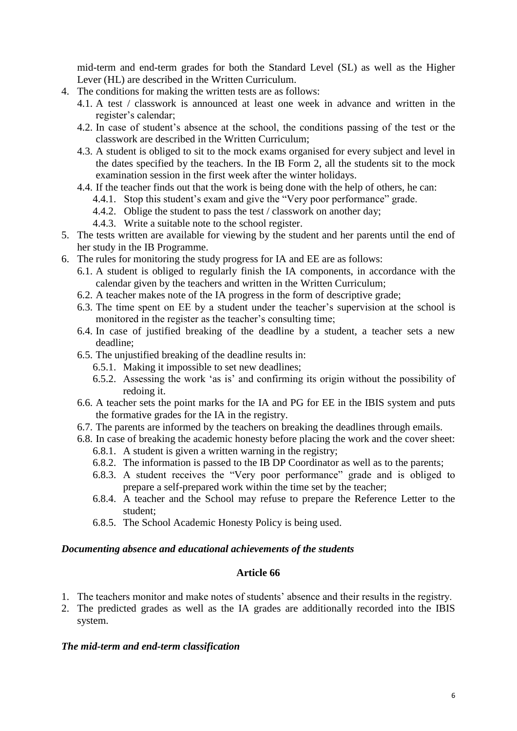mid-term and end-term grades for both the Standard Level (SL) as well as the Higher Lever (HL) are described in the Written Curriculum.

- 4. The conditions for making the written tests are as follows:
	- 4.1. A test / classwork is announced at least one week in advance and written in the register's calendar;
	- 4.2. In case of student"s absence at the school, the conditions passing of the test or the classwork are described in the Written Curriculum;
	- 4.3. A student is obliged to sit to the mock exams organised for every subject and level in the dates specified by the teachers. In the IB Form 2, all the students sit to the mock examination session in the first week after the winter holidays.
	- 4.4. If the teacher finds out that the work is being done with the help of others, he can:
		- 4.4.1. Stop this student's exam and give the "Very poor performance" grade.
		- 4.4.2. Oblige the student to pass the test / classwork on another day;
		- 4.4.3. Write a suitable note to the school register.
- 5. The tests written are available for viewing by the student and her parents until the end of her study in the IB Programme.
- 6. The rules for monitoring the study progress for IA and EE are as follows:
	- 6.1. A student is obliged to regularly finish the IA components, in accordance with the calendar given by the teachers and written in the Written Curriculum;
	- 6.2. A teacher makes note of the IA progress in the form of descriptive grade;
	- 6.3. The time spent on EE by a student under the teacher"s supervision at the school is monitored in the register as the teacher's consulting time:
	- 6.4. In case of justified breaking of the deadline by a student, a teacher sets a new deadline;
	- 6.5. The unjustified breaking of the deadline results in:
		- 6.5.1. Making it impossible to set new deadlines;
		- 6.5.2. Assessing the work "as is" and confirming its origin without the possibility of redoing it.
	- 6.6. A teacher sets the point marks for the IA and PG for EE in the IBIS system and puts the formative grades for the IA in the registry.
	- 6.7. The parents are informed by the teachers on breaking the deadlines through emails.
	- 6.8. In case of breaking the academic honesty before placing the work and the cover sheet: 6.8.1. A student is given a written warning in the registry;
		- 6.8.2. The information is passed to the IB DP Coordinator as well as to the parents;
		- 6.8.3. A student receives the "Very poor performance" grade and is obliged to prepare a self-prepared work within the time set by the teacher;
		- 6.8.4. A teacher and the School may refuse to prepare the Reference Letter to the student;
		- 6.8.5. The School Academic Honesty Policy is being used.

#### *Documenting absence and educational achievements of the students*

#### **Article 66**

- 1. The teachers monitor and make notes of students" absence and their results in the registry.
- 2. The predicted grades as well as the IA grades are additionally recorded into the IBIS system.

#### *The mid-term and end-term classification*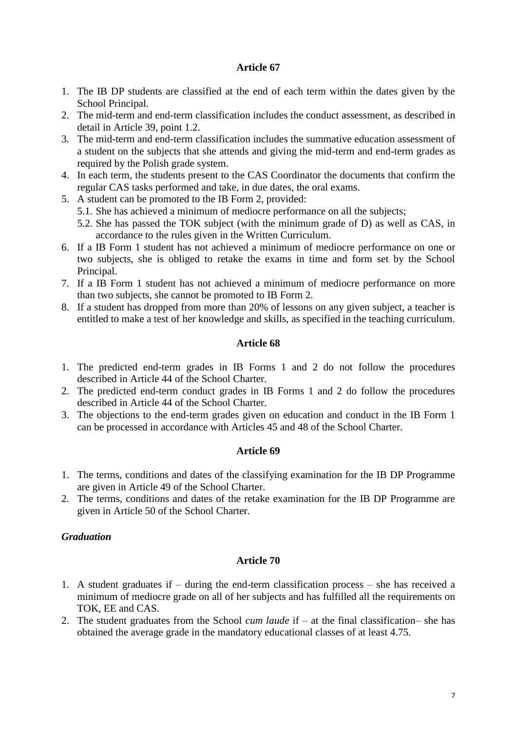# **Article 67**

- 1. The IB DP students are classified at the end of each term within the dates given by the School Principal.
- 2. The mid-term and end-term classification includes the conduct assessment, as described in detail in Article 39, point 1.2.
- 3. The mid-term and end-term classification includes the summative education assessment of a student on the subjects that she attends and giving the mid-term and end-term grades as required by the Polish grade system.
- 4. In each term, the students present to the CAS Coordinator the documents that confirm the regular CAS tasks performed and take, in due dates, the oral exams.
- 5. A student can be promoted to the IB Form 2, provided:
	- 5.1. She has achieved a minimum of mediocre performance on all the subjects;
	- 5.2. She has passed the TOK subject (with the minimum grade of D) as well as CAS, in accordance to the rules given in the Written Curriculum.
- 6. If a IB Form 1 student has not achieved a minimum of mediocre performance on one or two subjects, she is obliged to retake the exams in time and form set by the School Principal.
- 7. If a IB Form 1 student has not achieved a minimum of mediocre performance on more than two subjects, she cannot be promoted to IB Form 2.
- 8. If a student has dropped from more than 20% of lessons on any given subject, a teacher is entitled to make a test of her knowledge and skills, as specified in the teaching curriculum.

# **Article 68**

- 1. The predicted end-term grades in IB Forms 1 and 2 do not follow the procedures described in Article 44 of the School Charter.
- 2. The predicted end-term conduct grades in IB Forms 1 and 2 do follow the procedures described in Article 44 of the School Charter.
- 3. The objections to the end-term grades given on education and conduct in the IB Form 1 can be processed in accordance with Articles 45 and 48 of the School Charter.

### **Article 69**

- 1. The terms, conditions and dates of the classifying examination for the IB DP Programme are given in Article 49 of the School Charter.
- 2. The terms, conditions and dates of the retake examination for the IB DP Programme are given in Article 50 of the School Charter.

### *Graduation*

- 1. A student graduates if during the end-term classification process she has received a minimum of mediocre grade on all of her subjects and has fulfilled all the requirements on TOK, EE and CAS.
- 2. The student graduates from the School *cum laude* if at the final classification– she has obtained the average grade in the mandatory educational classes of at least 4.75.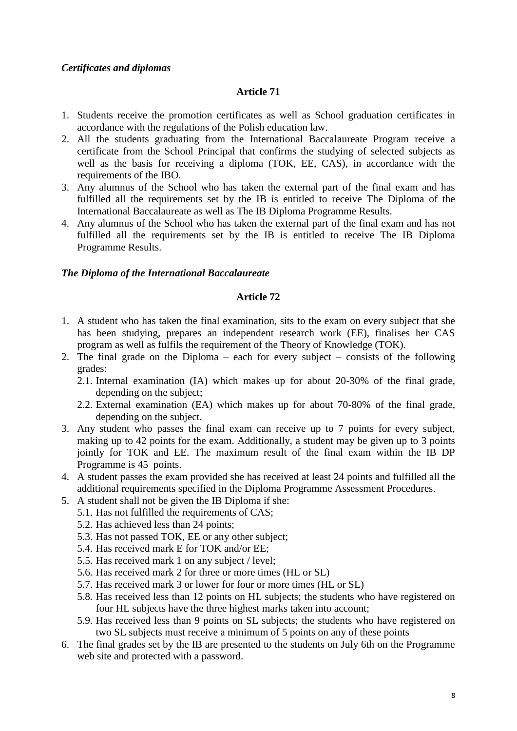### *Certificates and diplomas*

### **Article 71**

- 1. Students receive the promotion certificates as well as School graduation certificates in accordance with the regulations of the Polish education law.
- 2. All the students graduating from the International Baccalaureate Program receive a certificate from the School Principal that confirms the studying of selected subjects as well as the basis for receiving a diploma (TOK, EE, CAS), in accordance with the requirements of the IBO.
- 3. Any alumnus of the School who has taken the external part of the final exam and has fulfilled all the requirements set by the IB is entitled to receive The Diploma of the International Baccalaureate as well as The IB Diploma Programme Results.
- 4. Any alumnus of the School who has taken the external part of the final exam and has not fulfilled all the requirements set by the IB is entitled to receive The IB Diploma Programme Results.

### *The Diploma of the International Baccalaureate*

- 1. A student who has taken the final examination, sits to the exam on every subject that she has been studying, prepares an independent research work (EE), finalises her CAS program as well as fulfils the requirement of the Theory of Knowledge (TOK).
- 2. The final grade on the Diploma each for every subject consists of the following grades:
	- 2.1. Internal examination (IA) which makes up for about 20-30% of the final grade, depending on the subject;
	- 2.2. External examination (EA) which makes up for about 70-80% of the final grade, depending on the subject.
- 3. Any student who passes the final exam can receive up to 7 points for every subject, making up to 42 points for the exam. Additionally, a student may be given up to 3 points jointly for TOK and EE. The maximum result of the final exam within the IB DP Programme is 45 points.
- 4. A student passes the exam provided she has received at least 24 points and fulfilled all the additional requirements specified in the Diploma Programme Assessment Procedures.
- 5. A student shall not be given the IB Diploma if she:
	- 5.1. Has not fulfilled the requirements of CAS;
	- 5.2. Has achieved less than 24 points;
	- 5.3. Has not passed TOK, EE or any other subject;
	- 5.4. Has received mark E for TOK and/or EE;
	- 5.5. Has received mark 1 on any subject / level;
	- 5.6. Has received mark 2 for three or more times (HL or SL)
	- 5.7. Has received mark 3 or lower for four or more times (HL or SL)
	- 5.8. Has received less than 12 points on HL subjects; the students who have registered on four HL subjects have the three highest marks taken into account;
	- 5.9. Has received less than 9 points on SL subjects; the students who have registered on two SL subjects must receive a minimum of 5 points on any of these points
- 6. The final grades set by the IB are presented to the students on July 6th on the Programme web site and protected with a password.